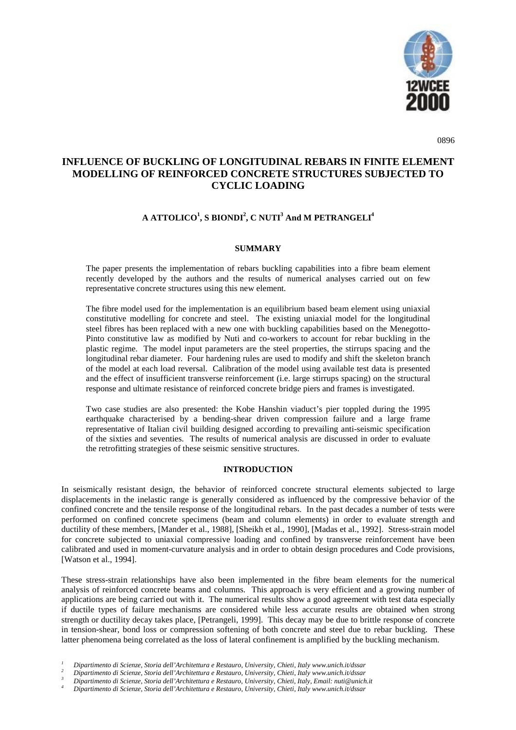

0896

# **INFLUENCE OF BUCKLING OF LONGITUDINAL REBARS IN FINITE ELEMENT MODELLING OF REINFORCED CONCRETE STRUCTURES SUBJECTED TO CYCLIC LOADING**

## $\mathbf{A}\ \mathbf{ATTOLICO}^{1}, \mathbf{S}\ \mathbf{BIONDI}^{2}, \mathbf{C}\ \mathbf{NUTI}^{3} \mathbf{And}\ \mathbf{M}\ \mathbf{PETRANGELI}^{4}$

## **SUMMARY**

The paper presents the implementation of rebars buckling capabilities into a fibre beam element recently developed by the authors and the results of numerical analyses carried out on few representative concrete structures using this new element.

The fibre model used for the implementation is an equilibrium based beam element using uniaxial constitutive modelling for concrete and steel. The existing uniaxial model for the longitudinal steel fibres has been replaced with a new one with buckling capabilities based on the Menegotto-Pinto constitutive law as modified by Nuti and co-workers to account for rebar buckling in the plastic regime. The model input parameters are the steel properties, the stirrups spacing and the longitudinal rebar diameter. Four hardening rules are used to modify and shift the skeleton branch of the model at each load reversal. Calibration of the model using available test data is presented and the effect of insufficient transverse reinforcement (i.e. large stirrups spacing) on the structural response and ultimate resistance of reinforced concrete bridge piers and frames is investigated.

Two case studies are also presented: the Kobe Hanshin viaduct's pier toppled during the 1995 earthquake characterised by a bending-shear driven compression failure and a large frame representative of Italian civil building designed according to prevailing anti-seismic specification of the sixties and seventies. The results of numerical analysis are discussed in order to evaluate the retrofitting strategies of these seismic sensitive structures.

#### **INTRODUCTION**

In seismically resistant design, the behavior of reinforced concrete structural elements subjected to large displacements in the inelastic range is generally considered as influenced by the compressive behavior of the confined concrete and the tensile response of the longitudinal rebars. In the past decades a number of tests were performed on confined concrete specimens (beam and column elements) in order to evaluate strength and ductility of these members, [Mander et al., 1988], [Sheikh et al., 1990], [Madas et al., 1992]. Stress-strain model for concrete subjected to uniaxial compressive loading and confined by transverse reinforcement have been calibrated and used in moment-curvature analysis and in order to obtain design procedures and Code provisions, [Watson et al., 1994].

These stress-strain relationships have also been implemented in the fibre beam elements for the numerical analysis of reinforced concrete beams and columns. This approach is very efficient and a growing number of applications are being carried out with it. The numerical results show a good agreement with test data especially if ductile types of failure mechanisms are considered while less accurate results are obtained when strong strength or ductility decay takes place, [Petrangeli, 1999]. This decay may be due to brittle response of concrete in tension-shear, bond loss or compression softening of both concrete and steel due to rebar buckling. These latter phenomena being correlated as the loss of lateral confinement is amplified by the buckling mechanism.

 $\begin{array}{ll} \textit{1} & \textit{Dipartimento di Scienze, Storia dell'Architettura e Restauro, University, Chiefi, Italy www.unich.it/dssar\\ \textit{2} & \textit{Dipartimento di Scienze, Storia dell'Architettura e Restauro, University, Chiefi, Italy www.unich.it/dssar\\ \textit{3} & \textit{Dipartimento di Scienze, Storia dell'Architettura e Restauro, University, Chiefi, Italy, Email: nuti@unich.it \\ \textit{4} & \textit{Dipartimento di Scienze, Storia dell'Architettura e Restauro, University, Chiefi, Italy www.unich.it/dssar\\ \end{array}$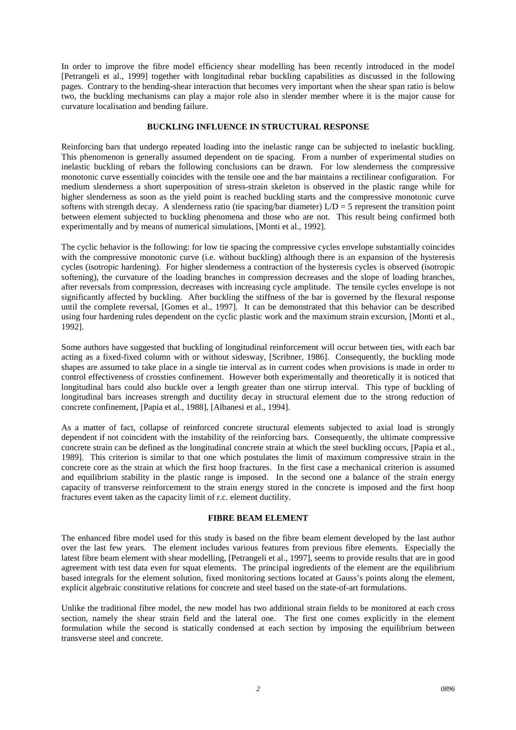In order to improve the fibre model efficiency shear modelling has been recently introduced in the model [Petrangeli et al., 1999] together with longitudinal rebar buckling capabilities as discussed in the following pages. Contrary to the bending-shear interaction that becomes very important when the shear span ratio is below two, the buckling mechanisms can play a major role also in slender member where it is the major cause for curvature localisation and bending failure.

#### **BUCKLING INFLUENCE IN STRUCTURAL RESPONSE**

Reinforcing bars that undergo repeated loading into the inelastic range can be subjected to inelastic buckling. This phenomenon is generally assumed dependent on tie spacing. From a number of experimental studies on inelastic buckling of rebars the following conclusions can be drawn. For low slenderness the compressive monotonic curve essentially coincides with the tensile one and the bar maintains a rectilinear configuration. For medium slenderness a short superposition of stress-strain skeleton is observed in the plastic range while for higher slenderness as soon as the yield point is reached buckling starts and the compressive monotonic curve softens with strength decay. A slenderness ratio (tie spacing/bar diameter)  $L/D = 5$  represent the transition point between element subjected to buckling phenomena and those who are not. This result being confirmed both experimentally and by means of numerical simulations, [Monti et al., 1992].

The cyclic behavior is the following: for low tie spacing the compressive cycles envelope substantially coincides with the compressive monotonic curve (i.e. without buckling) although there is an expansion of the hysteresis cycles (isotropic hardening). For higher slenderness a contraction of the hysteresis cycles is observed (isotropic softening), the curvature of the loading branches in compression decreases and the slope of loading branches, after reversals from compression, decreases with increasing cycle amplitude. The tensile cycles envelope is not significantly affected by buckling. After buckling the stiffness of the bar is governed by the flexural response until the complete reversal, [Gomes et al., 1997]. It can be demonstrated that this behavior can be described using four hardening rules dependent on the cyclic plastic work and the maximum strain excursion, [Monti et al., 1992].

Some authors have suggested that buckling of longitudinal reinforcement will occur between ties, with each bar acting as a fixed-fixed column with or without sidesway, [Scribner, 1986]. Consequently, the buckling mode shapes are assumed to take place in a single tie interval as in current codes when provisions is made in order to control effectiveness of crossties confinement. However both experimentally and theoretically it is noticed that longitudinal bars could also buckle over a length greater than one stirrup interval. This type of buckling of longitudinal bars increases strength and ductility decay in structural element due to the strong reduction of concrete confinement, [Papia et al., 1988], [Albanesi et al., 1994].

As a matter of fact, collapse of reinforced concrete structural elements subjected to axial load is strongly dependent if not coincident with the instability of the reinforcing bars. Consequently, the ultimate compressive concrete strain can be defined as the longitudinal concrete strain at which the steel buckling occurs, [Papia et al., 1989]. This criterion is similar to that one which postulates the limit of maximum compressive strain in the concrete core as the strain at which the first hoop fractures. In the first case a mechanical criterion is assumed and equilibrium stability in the plastic range is imposed. In the second one a balance of the strain energy capacity of transverse reinforcement to the strain energy stored in the concrete is imposed and the first hoop fractures event taken as the capacity limit of r.c. element ductility.

## **FIBRE BEAM ELEMENT**

The enhanced fibre model used for this study is based on the fibre beam element developed by the last author over the last few years. The element includes various features from previous fibre elements. Especially the latest fibre beam element with shear modelling, [Petrangeli et al., 1997], seems to provide results that are in good agreement with test data even for squat elements. The principal ingredients of the element are the equilibrium based integrals for the element solution, fixed monitoring sections located at Gauss's points along the element, explicit algebraic constitutive relations for concrete and steel based on the state-of-art formulations.

Unlike the traditional fibre model, the new model has two additional strain fields to be monitored at each cross section, namely the shear strain field and the lateral one. The first one comes explicitly in the element formulation while the second is statically condensed at each section by imposing the equilibrium between transverse steel and concrete.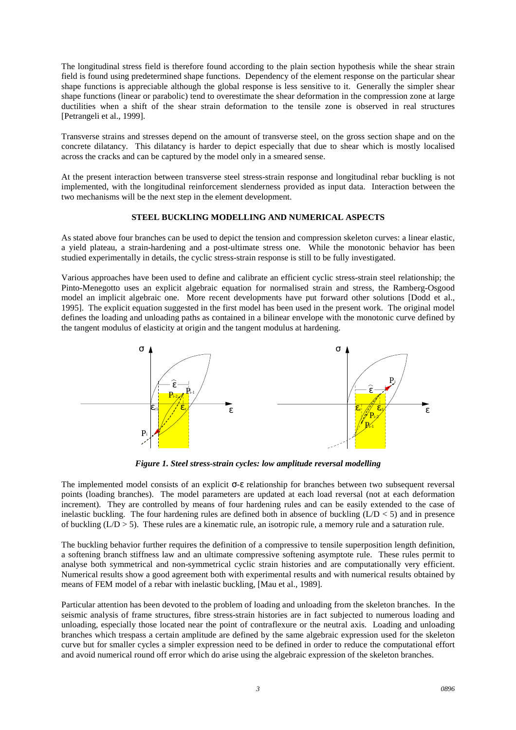The longitudinal stress field is therefore found according to the plain section hypothesis while the shear strain field is found using predetermined shape functions. Dependency of the element response on the particular shear shape functions is appreciable although the global response is less sensitive to it. Generally the simpler shear shape functions (linear or parabolic) tend to overestimate the shear deformation in the compression zone at large ductilities when a shift of the shear strain deformation to the tensile zone is observed in real structures [Petrangeli et al., 1999].

Transverse strains and stresses depend on the amount of transverse steel, on the gross section shape and on the concrete dilatancy. This dilatancy is harder to depict especially that due to shear which is mostly localised across the cracks and can be captured by the model only in a smeared sense.

At the present interaction between transverse steel stress-strain response and longitudinal rebar buckling is not implemented, with the longitudinal reinforcement slenderness provided as input data. Interaction between the two mechanisms will be the next step in the element development.

## **STEEL BUCKLING MODELLING AND NUMERICAL ASPECTS**

As stated above four branches can be used to depict the tension and compression skeleton curves: a linear elastic, a yield plateau, a strain-hardening and a post-ultimate stress one. While the monotonic behavior has been studied experimentally in details, the cyclic stress-strain response is still to be fully investigated.

Various approaches have been used to define and calibrate an efficient cyclic stress-strain steel relationship; the Pinto-Menegotto uses an explicit algebraic equation for normalised strain and stress, the Ramberg-Osgood model an implicit algebraic one. More recent developments have put forward other solutions [Dodd et al., 1995]. The explicit equation suggested in the first model has been used in the present work. The original model defines the loading and unloading paths as contained in a bilinear envelope with the monotonic curve defined by the tangent modulus of elasticity at origin and the tangent modulus at hardening.



*Figure 1. Steel stress-strain cycles: low amplitude reversal modelling*

The implemented model consists of an explicit σ-ε relationship for branches between two subsequent reversal points (loading branches). The model parameters are updated at each load reversal (not at each deformation increment). They are controlled by means of four hardening rules and can be easily extended to the case of inelastic buckling. The four hardening rules are defined both in absence of buckling  $(L/D < 5)$  and in presence of buckling  $(L/D > 5)$ . These rules are a kinematic rule, an isotropic rule, a memory rule and a saturation rule.

The buckling behavior further requires the definition of a compressive to tensile superposition length definition, a softening branch stiffness law and an ultimate compressive softening asymptote rule. These rules permit to analyse both symmetrical and non-symmetrical cyclic strain histories and are computationally very efficient. Numerical results show a good agreement both with experimental results and with numerical results obtained by means of FEM model of a rebar with inelastic buckling, [Mau et al., 1989].

Particular attention has been devoted to the problem of loading and unloading from the skeleton branches. In the seismic analysis of frame structures, fibre stress-strain histories are in fact subjected to numerous loading and unloading, especially those located near the point of contraflexure or the neutral axis. Loading and unloading branches which trespass a certain amplitude are defined by the same algebraic expression used for the skeleton curve but for smaller cycles a simpler expression need to be defined in order to reduce the computational effort and avoid numerical round off error which do arise using the algebraic expression of the skeleton branches.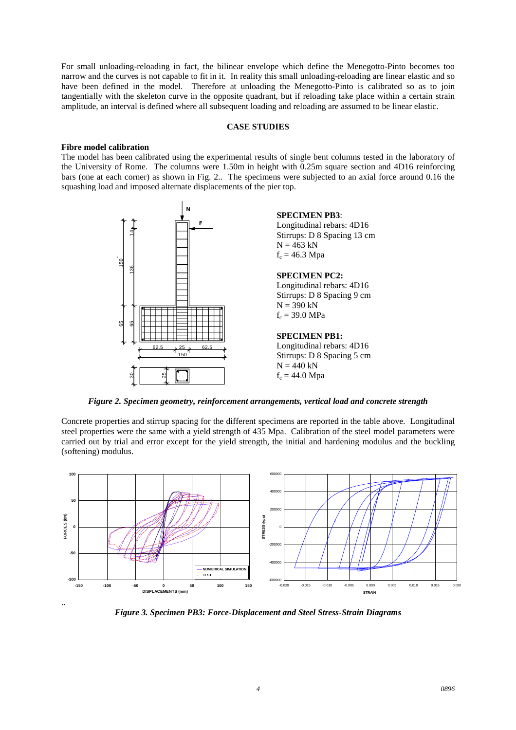For small unloading-reloading in fact, the bilinear envelope which define the Menegotto-Pinto becomes too narrow and the curves is not capable to fit in it. In reality this small unloading-reloading are linear elastic and so have been defined in the model. Therefore at unloading the Menegotto-Pinto is calibrated so as to join tangentially with the skeleton curve in the opposite quadrant, but if reloading take place within a certain strain amplitude, an interval is defined where all subsequent loading and reloading are assumed to be linear elastic.

#### **CASE STUDIES**

## **Fibre model calibration**

The model has been calibrated using the experimental results of single bent columns tested in the laboratory of the University of Rome. The columns were 1.50m in height with 0.25m square section and 4D16 reinforcing bars (one at each corner) as shown in Fig. 2.. The specimens were subjected to an axial force around 0.16 the squashing load and imposed alternate displacements of the pier top.



*Figure 2. Specimen geometry, reinforcement arrangements, vertical load and concrete strength*

Concrete properties and stirrup spacing for the different specimens are reported in the table above. Longitudinal steel properties were the same with a yield strength of 435 Mpa. Calibration of the steel model parameters were carried out by trial and error except for the yield strength, the initial and hardening modulus and the buckling (softening) modulus.



*Figure 3. Specimen PB3: Force-Displacement and Steel Stress-Strain Diagrams*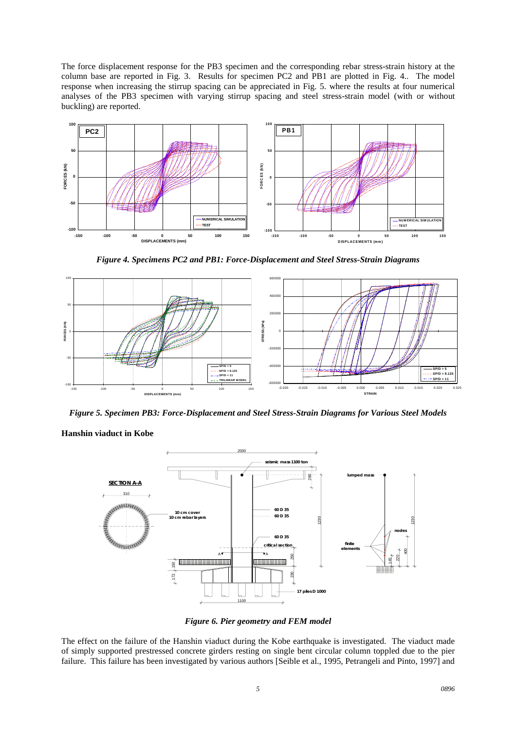The force displacement response for the PB3 specimen and the corresponding rebar stress-strain history at the column base are reported in Fig. 3. Results for specimen PC2 and PB1 are plotted in Fig. 4.. The model response when increasing the stirrup spacing can be appreciated in Fig. 5. where the results at four numerical analyses of the PB3 specimen with varying stirrup spacing and steel stress-strain model (with or without buckling) are reported.



*Figure 4. Specimens PC2 and PB1: Force-Displacement and Steel Stress-Strain Diagrams*



*Figure 5. Specimen PB3: Force-Displacement and Steel Stress-Strain Diagrams for Various Steel Models*

**Hanshin viaduct in Kobe**



*Figure 6. Pier geometry and FEM model*

The effect on the failure of the Hanshin viaduct during the Kobe earthquake is investigated. The viaduct made of simply supported prestressed concrete girders resting on single bent circular column toppled due to the pier failure. This failure has been investigated by various authors [Seible et al., 1995, Petrangeli and Pinto, 1997] and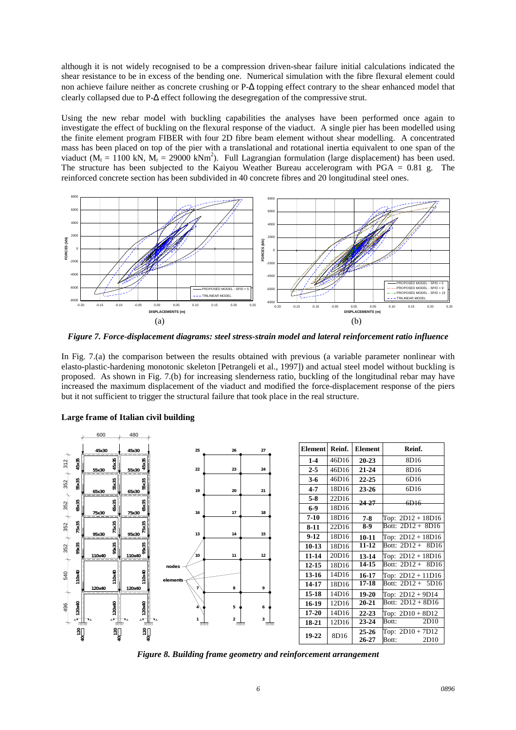although it is not widely recognised to be a compression driven-shear failure initial calculations indicated the shear resistance to be in excess of the bending one. Numerical simulation with the fibre flexural element could non achieve failure neither as concrete crushing or P-∆ topping effect contrary to the shear enhanced model that clearly collapsed due to P-∆ effect following the desegregation of the compressive strut.

Using the new rebar model with buckling capabilities the analyses have been performed once again to investigate the effect of buckling on the flexural response of the viaduct. A single pier has been modelled using the finite element program FIBER with four 2D fibre beam element without shear modelling. A concentrated mass has been placed on top of the pier with a translational and rotational inertia equivalent to one span of the viaduct ( $M_t = 1100$  kN,  $M_r = 29000$  kNm<sup>2</sup>). Full Lagrangian formulation (large displacement) has been used. The structure has been subjected to the Kaiyou Weather Bureau accelerogram with  $PGA = 0.81$  g. The reinforced concrete section has been subdivided in 40 concrete fibres and 20 longitudinal steel ones.



*Figure 7. Force-displacement diagrams: steel stress-strain model and lateral reinforcement ratio influence*

In Fig. 7.(a) the comparison between the results obtained with previous (a variable parameter nonlinear with elasto-plastic-hardening monotonic skeleton [Petrangeli et al., 1997]) and actual steel model without buckling is proposed. As shown in Fig. 7.(b) for increasing slenderness ratio, buckling of the longitudinal rebar may have increased the maximum displacement of the viaduct and modified the force-displacement response of the piers but it not sufficient to trigger the structural failure that took place in the real structure.



## **Large frame of Italian civil building**

*Figure 8. Building frame geometry and reinforcement arrangement*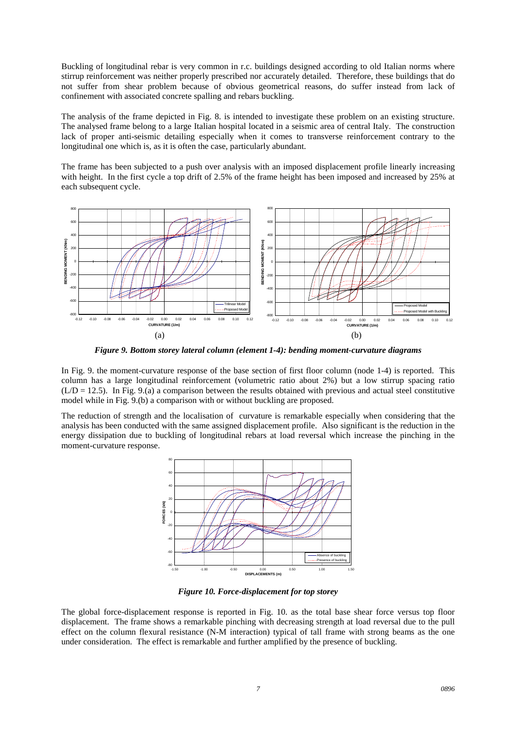Buckling of longitudinal rebar is very common in r.c. buildings designed according to old Italian norms where stirrup reinforcement was neither properly prescribed nor accurately detailed. Therefore, these buildings that do not suffer from shear problem because of obvious geometrical reasons, do suffer instead from lack of confinement with associated concrete spalling and rebars buckling.

The analysis of the frame depicted in Fig. 8. is intended to investigate these problem on an existing structure. The analysed frame belong to a large Italian hospital located in a seismic area of central Italy. The construction lack of proper anti-seismic detailing especially when it comes to transverse reinforcement contrary to the longitudinal one which is, as it is often the case, particularly abundant.

The frame has been subjected to a push over analysis with an imposed displacement profile linearly increasing with height. In the first cycle a top drift of 2.5% of the frame height has been imposed and increased by 25% at each subsequent cycle.



*Figure 9. Bottom storey lateral column (element 1-4): bending moment-curvature diagrams*

In Fig. 9. the moment-curvature response of the base section of first floor column (node 1-4) is reported. This column has a large longitudinal reinforcement (volumetric ratio about 2%) but a low stirrup spacing ratio  $(L/D = 12.5)$ . In Fig. 9.(a) a comparison between the results obtained with previous and actual steel constitutive model while in Fig. 9.(b) a comparison with or without buckling are proposed.

The reduction of strength and the localisation of curvature is remarkable especially when considering that the analysis has been conducted with the same assigned displacement profile. Also significant is the reduction in the energy dissipation due to buckling of longitudinal rebars at load reversal which increase the pinching in the moment-curvature response.



*Figure 10. Force-displacement for top storey*

The global force-displacement response is reported in Fig. 10. as the total base shear force versus top floor displacement. The frame shows a remarkable pinching with decreasing strength at load reversal due to the pull effect on the column flexural resistance (N-M interaction) typical of tall frame with strong beams as the one under consideration. The effect is remarkable and further amplified by the presence of buckling.